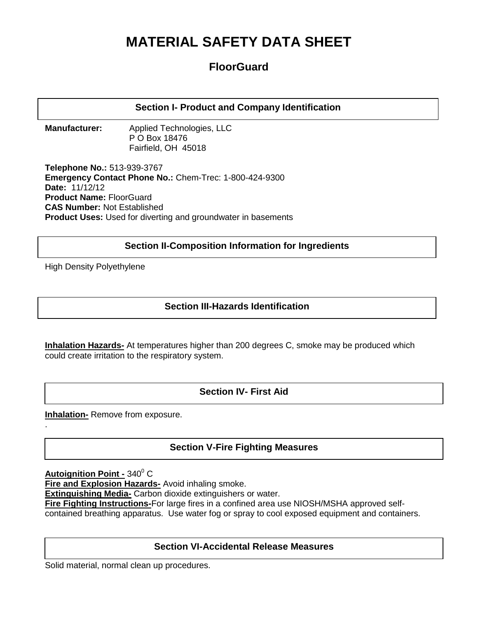# **MATERIAL SAFETY DATA SHEET**

# **FloorGuard**

**Section I- Product and Company Identification**

**Manufacturer:** Applied Technologies, LLC P O Box 18476 Fairfield, OH 45018

**Telephone No.:** 513-939-3767 **Emergency Contact Phone No.:** Chem-Trec: 1-800-424-9300 **Date:** 11/12/12 **Product Name:** FloorGuard **CAS Number:** Not Established **Product Uses:** Used for diverting and groundwater in basements

# **Section II-Composition Information for Ingredients**

High Density Polyethylene

# **Section III-Hazards Identification**

**Inhalation Hazards-** At temperatures higher than 200 degrees C, smoke may be produced which could create irritation to the respiratory system.

# **Section IV- First Aid**

**Inhalation-** Remove from exposure.

# **Section V-Fire Fighting Measures**

**Autoignition Point - 340° C** 

.

**Fire and Explosion Hazards-** Avoid inhaling smoke.

**Extinguishing Media-** Carbon dioxide extinguishers or water.

**Fire Fighting Instructions-**For large fires in a confined area use NIOSH/MSHA approved self-

contained breathing apparatus. Use water fog or spray to cool exposed equipment and containers.

#### **Section VI-Accidental Release Measures**

Solid material, normal clean up procedures.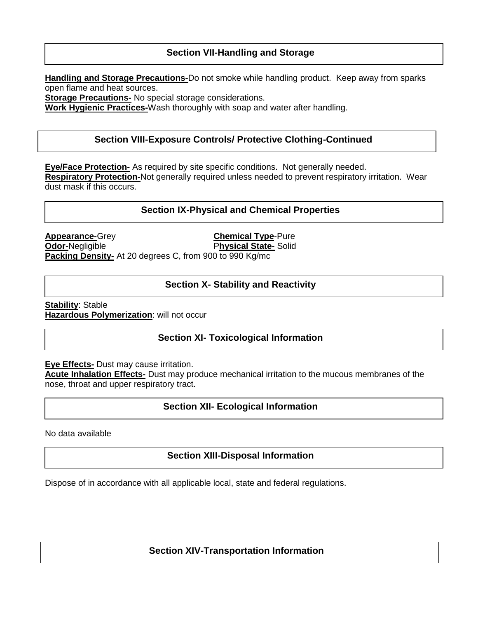## **Section VII-Handling and Storage**

**Handling and Storage Precautions-**Do not smoke while handling product. Keep away from sparks open flame and heat sources.

**Storage Precautions-** No special storage considerations.

**Work Hygienic Practices-**Wash thoroughly with soap and water after handling.

## **Section VIII-Exposure Controls/ Protective Clothing-Continued**

**Eye/Face Protection-** As required by site specific conditions. Not generally needed. **Respiratory Protection-**Not generally required unless needed to prevent respiratory irritation. Wear dust mask if this occurs.

#### **Section IX-Physical and Chemical Properties**

| <b>Appearance-</b> Grey                                        | <b>Chemical Type-Pure</b>   |
|----------------------------------------------------------------|-----------------------------|
| Odor-Negligible                                                | <b>Physical State-Solid</b> |
| <b>Packing Density-</b> At 20 degrees C, from 900 to 990 Kg/mc |                             |

#### **Section X- Stability and Reactivity**

**Stability**: Stable **Hazardous Polymerization**: will not occur

#### **Section XI- Toxicological Information**

**Eye Effects-** Dust may cause irritation.

**Acute Inhalation Effects-** Dust may produce mechanical irritation to the mucous membranes of the nose, throat and upper respiratory tract.

#### **Section XII- Ecological Information**

No data available

#### **Section XIII-Disposal Information**

Dispose of in accordance with all applicable local, state and federal regulations.

#### **Section XIV-Transportation Information**